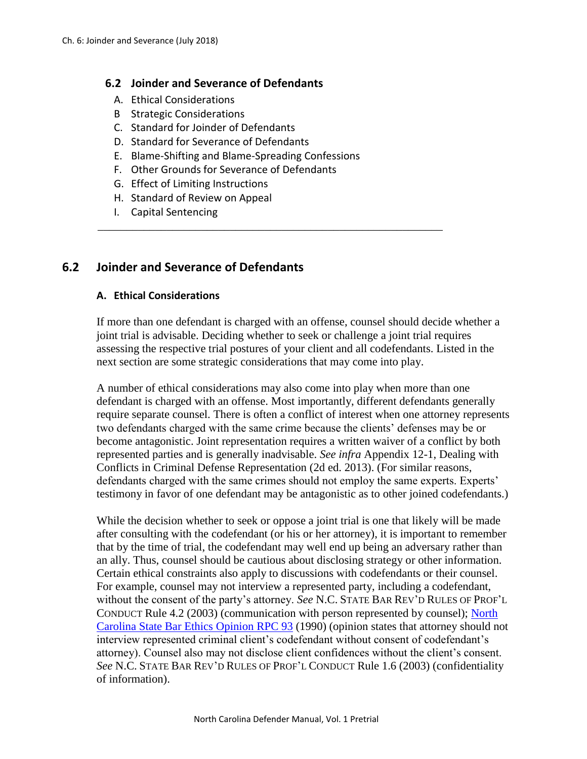#### **6.2 Joinder and Severance of Defendants**

- A. Ethical Considerations
- B Strategic Considerations
- C. Standard for Joinder of Defendants
- D. Standard for Severance of Defendants
- E. Blame-Shifting and Blame-Spreading Confessions

\_\_\_\_\_\_\_\_\_\_\_\_\_\_\_\_\_\_\_\_\_\_\_\_\_\_\_\_\_\_\_\_\_\_\_\_\_\_\_\_\_\_\_\_\_\_\_\_\_\_\_\_\_\_\_\_\_\_\_\_

- F. Other Grounds for Severance of Defendants
- G. Effect of Limiting Instructions
- H. Standard of Review on Appeal
- I. Capital Sentencing

# **6.2 Joinder and Severance of Defendants**

### **A. Ethical Considerations**

If more than one defendant is charged with an offense, counsel should decide whether a joint trial is advisable. Deciding whether to seek or challenge a joint trial requires assessing the respective trial postures of your client and all codefendants. Listed in the next section are some strategic considerations that may come into play.

A number of ethical considerations may also come into play when more than one defendant is charged with an offense. Most importantly, different defendants generally require separate counsel. There is often a conflict of interest when one attorney represents two defendants charged with the same crime because the clients' defenses may be or become antagonistic. Joint representation requires a written waiver of a conflict by both represented parties and is generally inadvisable. *See infra* Appendix 12-1, Dealing with Conflicts in Criminal Defense Representation (2d ed. 2013). (For similar reasons, defendants charged with the same crimes should not employ the same experts. Experts' testimony in favor of one defendant may be antagonistic as to other joined codefendants.)

While the decision whether to seek or oppose a joint trial is one that likely will be made after consulting with the codefendant (or his or her attorney), it is important to remember that by the time of trial, the codefendant may well end up being an adversary rather than an ally. Thus, counsel should be cautious about disclosing strategy or other information. Certain ethical constraints also apply to discussions with codefendants or their counsel. For example, counsel may not interview a represented party, including a codefendant, without the consent of the party's attorney. *See* N.C. STATE BAR REV'D RULES OF PROF'L CONDUCT Rule 4.2 (2003) (communication with person represented by counsel); [North](http://www.ncbar.gov/for-lawyers/ethics/adopted-opinions/rpc-93/)  Carolina [State Bar Ethics Opinion](http://www.ncbar.gov/for-lawyers/ethics/adopted-opinions/rpc-93/) RPC 93 (1990) (opinion states that attorney should not interview represented criminal client's codefendant without consent of codefendant's attorney). Counsel also may not disclose client confidences without the client's consent. *See* N.C. STATE BAR REV'D RULES OF PROF'L CONDUCT Rule 1.6 (2003) (confidentiality of information).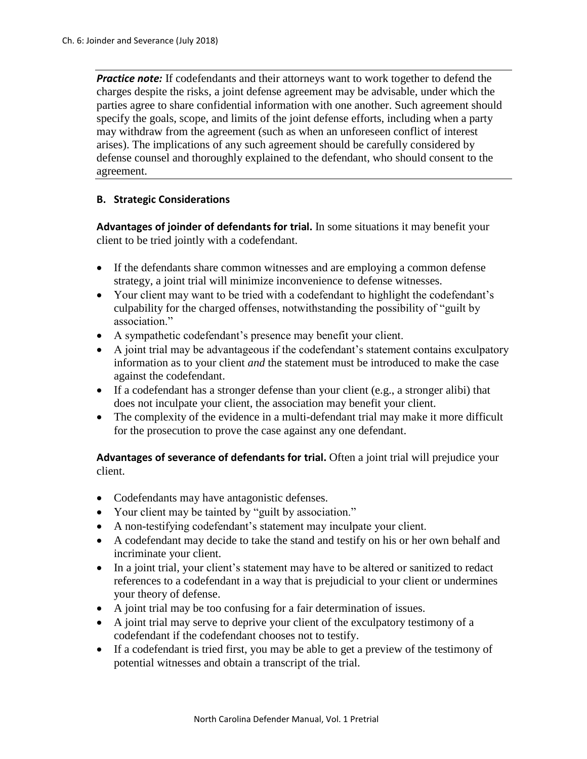**Practice note:** If codefendants and their attorneys want to work together to defend the charges despite the risks, a joint defense agreement may be advisable, under which the parties agree to share confidential information with one another. Such agreement should specify the goals, scope, and limits of the joint defense efforts, including when a party may withdraw from the agreement (such as when an unforeseen conflict of interest arises). The implications of any such agreement should be carefully considered by defense counsel and thoroughly explained to the defendant, who should consent to the agreement.

### **B. Strategic Considerations**

**Advantages of joinder of defendants for trial.** In some situations it may benefit your client to be tried jointly with a codefendant.

- If the defendants share common witnesses and are employing a common defense strategy, a joint trial will minimize inconvenience to defense witnesses.
- Your client may want to be tried with a codefendant to highlight the codefendant's culpability for the charged offenses, notwithstanding the possibility of "guilt by association."
- A sympathetic codefendant's presence may benefit your client.
- A joint trial may be advantageous if the codefendant's statement contains exculpatory information as to your client *and* the statement must be introduced to make the case against the codefendant.
- If a codefendant has a stronger defense than your client (e.g., a stronger alibi) that does not inculpate your client, the association may benefit your client.
- The complexity of the evidence in a multi-defendant trial may make it more difficult for the prosecution to prove the case against any one defendant.

### **Advantages of severance of defendants for trial.** Often a joint trial will prejudice your client.

- Codefendants may have antagonistic defenses.
- Your client may be tainted by "guilt by association."
- A non-testifying codefendant's statement may inculpate your client.
- A codefendant may decide to take the stand and testify on his or her own behalf and incriminate your client.
- In a joint trial, your client's statement may have to be altered or sanitized to redact references to a codefendant in a way that is prejudicial to your client or undermines your theory of defense.
- A joint trial may be too confusing for a fair determination of issues.
- A joint trial may serve to deprive your client of the exculpatory testimony of a codefendant if the codefendant chooses not to testify.
- If a codefendant is tried first, you may be able to get a preview of the testimony of potential witnesses and obtain a transcript of the trial.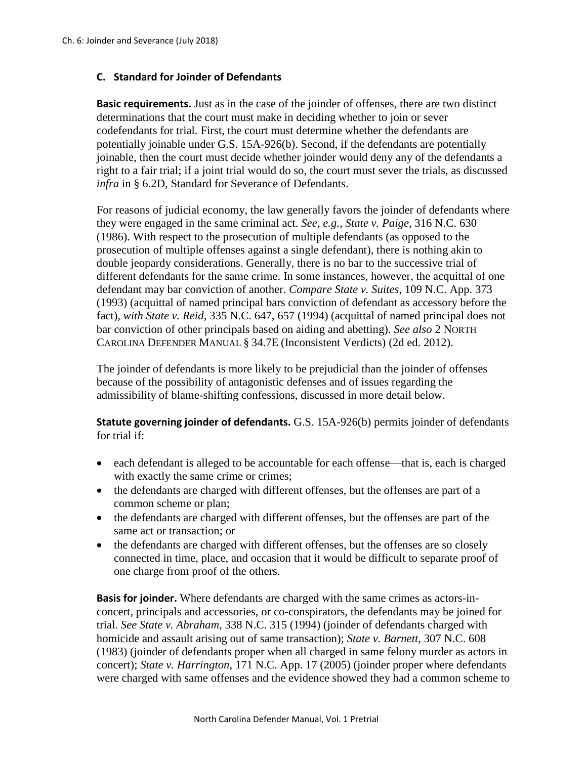### **C. Standard for Joinder of Defendants**

**Basic requirements.** Just as in the case of the joinder of offenses, there are two distinct determinations that the court must make in deciding whether to join or sever codefendants for trial. First, the court must determine whether the defendants are potentially joinable under G.S. 15A-926(b). Second, if the defendants are potentially joinable, then the court must decide whether joinder would deny any of the defendants a right to a fair trial; if a joint trial would do so, the court must sever the trials, as discussed *infra* in § 6.2D, Standard for Severance of Defendants.

For reasons of judicial economy, the law generally favors the joinder of defendants where they were engaged in the same criminal act. *See, e.g.*, *State v. Paige*, 316 N.C. 630 (1986). With respect to the prosecution of multiple defendants (as opposed to the prosecution of multiple offenses against a single defendant), there is nothing akin to double jeopardy considerations. Generally, there is no bar to the successive trial of different defendants for the same crime. In some instances, however, the acquittal of one defendant may bar conviction of another. *Compare State v. Suites*, 109 N.C. App. 373 (1993) (acquittal of named principal bars conviction of defendant as accessory before the fact), *with State v. Reid*, 335 N.C. 647, 657 (1994) (acquittal of named principal does not bar conviction of other principals based on aiding and abetting). *See also* 2 NORTH CAROLINA DEFENDER MANUAL § 34.7E (Inconsistent Verdicts) (2d ed. 2012).

The joinder of defendants is more likely to be prejudicial than the joinder of offenses because of the possibility of antagonistic defenses and of issues regarding the admissibility of blame-shifting confessions, discussed in more detail below.

**Statute governing joinder of defendants.** G.S. 15A-926(b) permits joinder of defendants for trial if:

- each defendant is alleged to be accountable for each offense—that is, each is charged with exactly the same crime or crimes;
- the defendants are charged with different offenses, but the offenses are part of a common scheme or plan;
- the defendants are charged with different offenses, but the offenses are part of the same act or transaction; or
- the defendants are charged with different offenses, but the offenses are so closely connected in time, place, and occasion that it would be difficult to separate proof of one charge from proof of the others.

**Basis for joinder.** Where defendants are charged with the same crimes as actors-inconcert, principals and accessories, or co-conspirators, the defendants may be joined for trial. *See State v. Abraham*, 338 N.C. 315 (1994) (joinder of defendants charged with homicide and assault arising out of same transaction); *State v. Barnett*, 307 N.C. 608 (1983) (joinder of defendants proper when all charged in same felony murder as actors in concert); *State v. Harrington*, 171 N.C. App. 17 (2005) (joinder proper where defendants were charged with same offenses and the evidence showed they had a common scheme to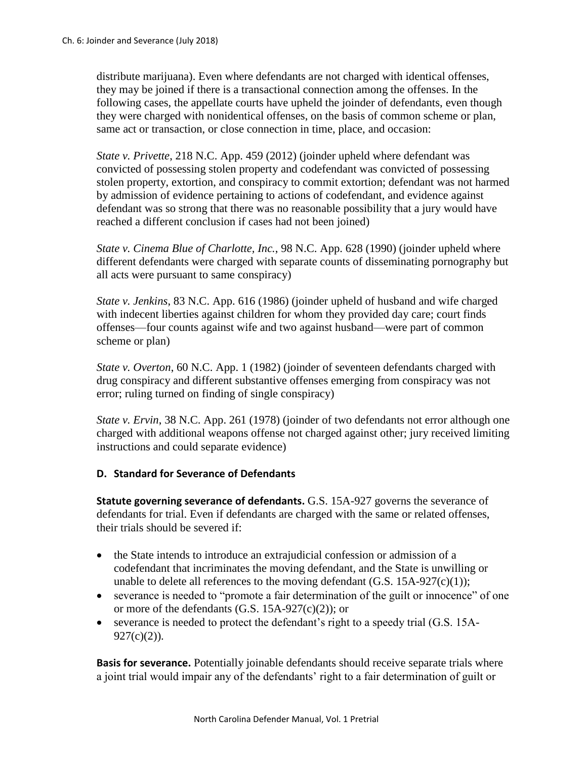distribute marijuana). Even where defendants are not charged with identical offenses, they may be joined if there is a transactional connection among the offenses. In the following cases, the appellate courts have upheld the joinder of defendants, even though they were charged with nonidentical offenses, on the basis of common scheme or plan, same act or transaction, or close connection in time, place, and occasion:

*State v. Privette*, 218 N.C. App. 459 (2012) (joinder upheld where defendant was convicted of possessing stolen property and codefendant was convicted of possessing stolen property, extortion, and conspiracy to commit extortion; defendant was not harmed by admission of evidence pertaining to actions of codefendant, and evidence against defendant was so strong that there was no reasonable possibility that a jury would have reached a different conclusion if cases had not been joined)

*State v. Cinema Blue of Charlotte, Inc.*, 98 N.C. App. 628 (1990) (joinder upheld where different defendants were charged with separate counts of disseminating pornography but all acts were pursuant to same conspiracy)

*State v. Jenkins*, 83 N.C. App. 616 (1986) (joinder upheld of husband and wife charged with indecent liberties against children for whom they provided day care; court finds offenses—four counts against wife and two against husband—were part of common scheme or plan)

*State v. Overton*, 60 N.C. App. 1 (1982) (joinder of seventeen defendants charged with drug conspiracy and different substantive offenses emerging from conspiracy was not error; ruling turned on finding of single conspiracy)

*State v. Ervin*, 38 N.C. App. 261 (1978) (joinder of two defendants not error although one charged with additional weapons offense not charged against other; jury received limiting instructions and could separate evidence)

## **D. Standard for Severance of Defendants**

**Statute governing severance of defendants.** G.S. 15A-927 governs the severance of defendants for trial. Even if defendants are charged with the same or related offenses, their trials should be severed if:

- the State intends to introduce an extrajudicial confession or admission of a codefendant that incriminates the moving defendant, and the State is unwilling or unable to delete all references to the moving defendant  $(G.S. 15A-927(c)(1));$
- severance is needed to "promote a fair determination of the guilt or innocence" of one or more of the defendants  $(G.S. 15A-927(c)(2))$ ; or
- severance is needed to protect the defendant's right to a speedy trial (G.S. 15A- $927(c)(2)$ ).

**Basis for severance.** Potentially joinable defendants should receive separate trials where a joint trial would impair any of the defendants' right to a fair determination of guilt or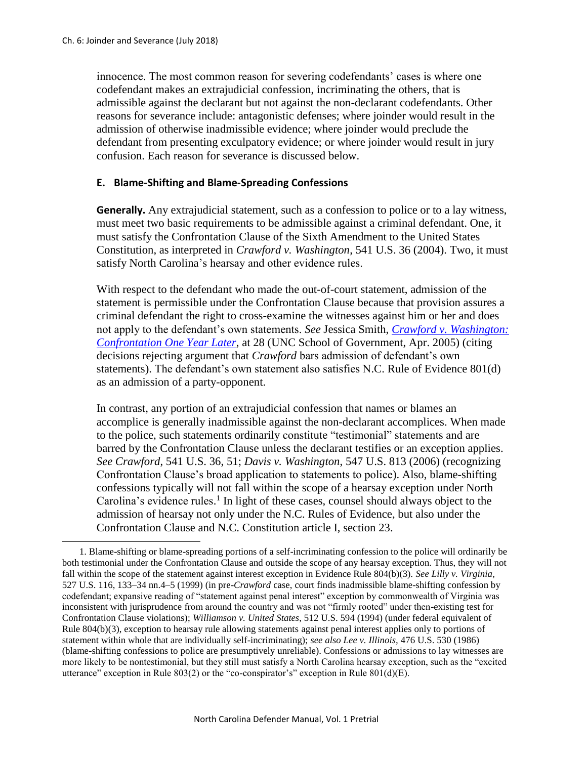l

innocence. The most common reason for severing codefendants' cases is where one codefendant makes an extrajudicial confession, incriminating the others, that is admissible against the declarant but not against the non-declarant codefendants. Other reasons for severance include: antagonistic defenses; where joinder would result in the admission of otherwise inadmissible evidence; where joinder would preclude the defendant from presenting exculpatory evidence; or where joinder would result in jury confusion. Each reason for severance is discussed below.

#### **E. Blame-Shifting and Blame-Spreading Confessions**

**Generally.** Any extrajudicial statement, such as a confession to police or to a lay witness, must meet two basic requirements to be admissible against a criminal defendant. One, it must satisfy the Confrontation Clause of the Sixth Amendment to the United States Constitution, as interpreted in *Crawford v. Washington*, 541 U.S. 36 (2004). Two, it must satisfy North Carolina's hearsay and other evidence rules.

With respect to the defendant who made the out-of-court statement, admission of the statement is permissible under the Confrontation Clause because that provision assures a criminal defendant the right to cross-examine the witnesses against him or her and does not apply to the defendant's own statements. *See* Jessica Smith, *[Crawford v. Washington:](http://sogpubs.unc.edu/electronicversions/pdfs/crawford.pdf)  [Confrontation One Year Later](http://sogpubs.unc.edu/electronicversions/pdfs/crawford.pdf)*, at 28 (UNC School of Government, Apr. 2005) (citing decisions rejecting argument that *Crawford* bars admission of defendant's own statements). The defendant's own statement also satisfies N.C. Rule of Evidence 801(d) as an admission of a party-opponent.

In contrast, any portion of an extrajudicial confession that names or blames an accomplice is generally inadmissible against the non-declarant accomplices. When made to the police, such statements ordinarily constitute "testimonial" statements and are barred by the Confrontation Clause unless the declarant testifies or an exception applies. *See Crawford*, 541 U.S. 36, 51; *Davis v. Washington*, 547 U.S. 813 (2006) (recognizing Confrontation Clause's broad application to statements to police). Also, blame-shifting confessions typically will not fall within the scope of a hearsay exception under North Carolina's evidence rules. 1 In light of these cases, counsel should always object to the admission of hearsay not only under the N.C. Rules of Evidence, but also under the Confrontation Clause and N.C. Constitution article I, section 23.

<sup>1.</sup> Blame-shifting or blame-spreading portions of a self-incriminating confession to the police will ordinarily be both testimonial under the Confrontation Clause and outside the scope of any hearsay exception. Thus, they will not fall within the scope of the statement against interest exception in Evidence Rule 804(b)(3). *See Lilly v. Virginia*, 527 U.S. 116, 133–34 nn.4–5 (1999) (in pre-*Crawford* case, court finds inadmissible blame-shifting confession by codefendant; expansive reading of "statement against penal interest" exception by commonwealth of Virginia was inconsistent with jurisprudence from around the country and was not "firmly rooted" under then-existing test for Confrontation Clause violations); *Williamson v. United States*, 512 U.S. 594 (1994) (under federal equivalent of Rule 804(b)(3), exception to hearsay rule allowing statements against penal interest applies only to portions of statement within whole that are individually self-incriminating); *see also Lee v. Illinois,* 476 U.S. 530 (1986) (blame-shifting confessions to police are presumptively unreliable). Confessions or admissions to lay witnesses are more likely to be nontestimonial, but they still must satisfy a North Carolina hearsay exception, such as the "excited utterance" exception in Rule 803(2) or the "co-conspirator's" exception in Rule 801(d)(E).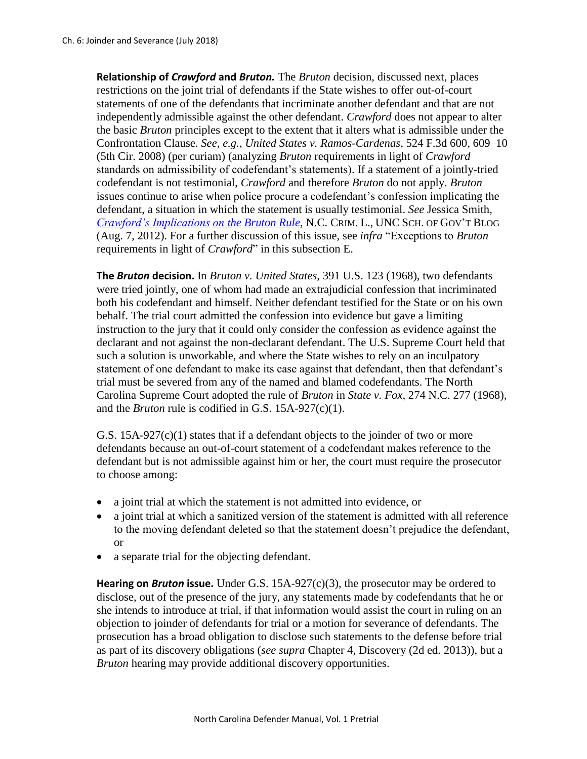**Relationship of** *Crawford* **and** *Bruton.* The *Bruton* decision, discussed next, places restrictions on the joint trial of defendants if the State wishes to offer out-of-court statements of one of the defendants that incriminate another defendant and that are not independently admissible against the other defendant. *Crawford* does not appear to alter the basic *Bruton* principles except to the extent that it alters what is admissible under the Confrontation Clause. *See, e.g.*, *United States v. Ramos-Cardenas*, 524 F.3d 600, 609–10 (5th Cir. 2008) (per curiam) (analyzing *Bruton* requirements in light of *Crawford*  standards on admissibility of codefendant's statements). If a statement of a jointly-tried codefendant is not testimonial, *Crawford* and therefore *Bruton* do not apply. *Bruton*  issues continue to arise when police procure a codefendant's confession implicating the defendant, a situation in which the statement is usually testimonial. *See* Jessica Smith, *[Crawford's Implications on the Bruton Rule](https://nccriminallaw.sog.unc.edu/crawfords-implications-on-the-bruton-rule/)*, N.C. CRIM. L., UNC SCH. OF GOV'T BLOG (Aug. 7, 2012). For a further discussion of this issue, see *infra* "Exceptions to *Bruton*  requirements in light of *Crawford*" in this subsection E.

**The** *Bruton* **decision.** In *Bruton v. United States*, 391 U.S. 123 (1968), two defendants were tried jointly, one of whom had made an extrajudicial confession that incriminated both his codefendant and himself. Neither defendant testified for the State or on his own behalf. The trial court admitted the confession into evidence but gave a limiting instruction to the jury that it could only consider the confession as evidence against the declarant and not against the non-declarant defendant. The U.S. Supreme Court held that such a solution is unworkable, and where the State wishes to rely on an inculpatory statement of one defendant to make its case against that defendant, then that defendant's trial must be severed from any of the named and blamed codefendants. The North Carolina Supreme Court adopted the rule of *Bruton* in *State v. Fox*, 274 N.C. 277 (1968), and the *Bruton* rule is codified in G.S. 15A-927(c)(1).

G.S.  $15A-927(c)(1)$  states that if a defendant objects to the joinder of two or more defendants because an out-of-court statement of a codefendant makes reference to the defendant but is not admissible against him or her, the court must require the prosecutor to choose among:

- a joint trial at which the statement is not admitted into evidence, or
- a joint trial at which a sanitized version of the statement is admitted with all reference to the moving defendant deleted so that the statement doesn't prejudice the defendant, or
- a separate trial for the objecting defendant.

**Hearing on** *Bruton* **issue.** Under G.S. 15A-927(c)(3), the prosecutor may be ordered to disclose, out of the presence of the jury, any statements made by codefendants that he or she intends to introduce at trial, if that information would assist the court in ruling on an objection to joinder of defendants for trial or a motion for severance of defendants. The prosecution has a broad obligation to disclose such statements to the defense before trial as part of its discovery obligations (*see supra* Chapter 4, Discovery (2d ed. 2013)), but a *Bruton* hearing may provide additional discovery opportunities.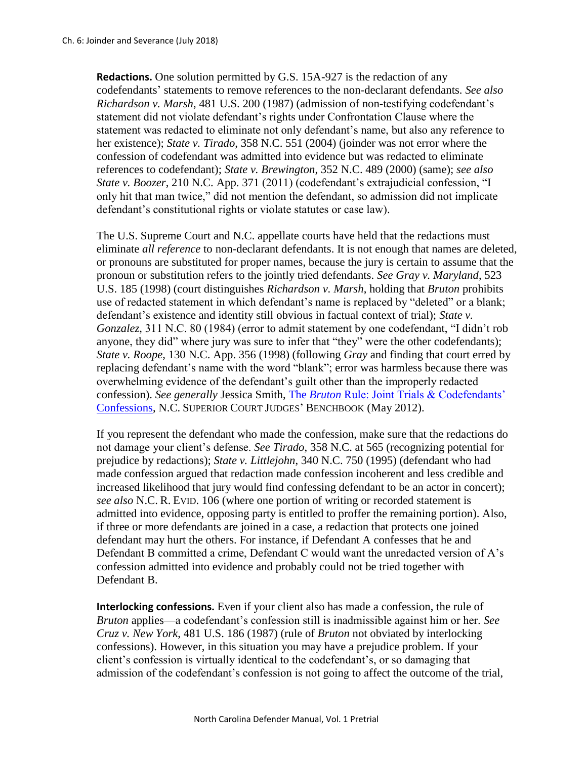**Redactions.** One solution permitted by G.S. 15A-927 is the redaction of any codefendants' statements to remove references to the non-declarant defendants. *See also Richardson v. Marsh*, 481 U.S. 200 (1987) (admission of non-testifying codefendant's statement did not violate defendant's rights under Confrontation Clause where the statement was redacted to eliminate not only defendant's name, but also any reference to her existence); *State v. Tirado*, 358 N.C. 551 (2004) (joinder was not error where the confession of codefendant was admitted into evidence but was redacted to eliminate references to codefendant); *State v. Brewington*, 352 N.C. 489 (2000) (same); *see also State v. Boozer*, 210 N.C. App. 371 (2011) (codefendant's extrajudicial confession, "I only hit that man twice," did not mention the defendant, so admission did not implicate defendant's constitutional rights or violate statutes or case law).

The U.S. Supreme Court and N.C. appellate courts have held that the redactions must eliminate *all reference* to non-declarant defendants. It is not enough that names are deleted, or pronouns are substituted for proper names, because the jury is certain to assume that the pronoun or substitution refers to the jointly tried defendants. *See Gray v. Maryland*, 523 U.S. 185 (1998) (court distinguishes *Richardson v. Marsh*, holding that *Bruton* prohibits use of redacted statement in which defendant's name is replaced by "deleted" or a blank; defendant's existence and identity still obvious in factual context of trial); *State v. Gonzalez*, 311 N.C. 80 (1984) (error to admit statement by one codefendant, "I didn't rob anyone, they did" where jury was sure to infer that "they" were the other codefendants); *State v. Roope*, 130 N.C. App. 356 (1998) (following *Gray* and finding that court erred by replacing defendant's name with the word "blank"; error was harmless because there was overwhelming evidence of the defendant's guilt other than the improperly redacted confession). *See generally* Jessica Smith, The *Bruton* [Rule: Joint Trials & Codefendants'](https://benchbook.sog.unc.edu/evidence/bruton-rule-joint-trials-codefendants-confessions)  [Confessions,](https://benchbook.sog.unc.edu/evidence/bruton-rule-joint-trials-codefendants-confessions) N.C. SUPERIOR COURT JUDGES' BENCHBOOK (May 2012).

If you represent the defendant who made the confession, make sure that the redactions do not damage your client's defense. *See Tirado*, 358 N.C. at 565 (recognizing potential for prejudice by redactions); *State v. Littlejohn*, 340 N.C. 750 (1995) (defendant who had made confession argued that redaction made confession incoherent and less credible and increased likelihood that jury would find confessing defendant to be an actor in concert); *see also* N.C. R. EVID. 106 (where one portion of writing or recorded statement is admitted into evidence, opposing party is entitled to proffer the remaining portion). Also, if three or more defendants are joined in a case, a redaction that protects one joined defendant may hurt the others. For instance, if Defendant A confesses that he and Defendant B committed a crime, Defendant C would want the unredacted version of A's confession admitted into evidence and probably could not be tried together with Defendant B.

**Interlocking confessions.** Even if your client also has made a confession, the rule of *Bruton* applies—a codefendant's confession still is inadmissible against him or her. *See Cruz v. New York*, 481 U.S. 186 (1987) (rule of *Bruton* not obviated by interlocking confessions). However, in this situation you may have a prejudice problem. If your client's confession is virtually identical to the codefendant's, or so damaging that admission of the codefendant's confession is not going to affect the outcome of the trial,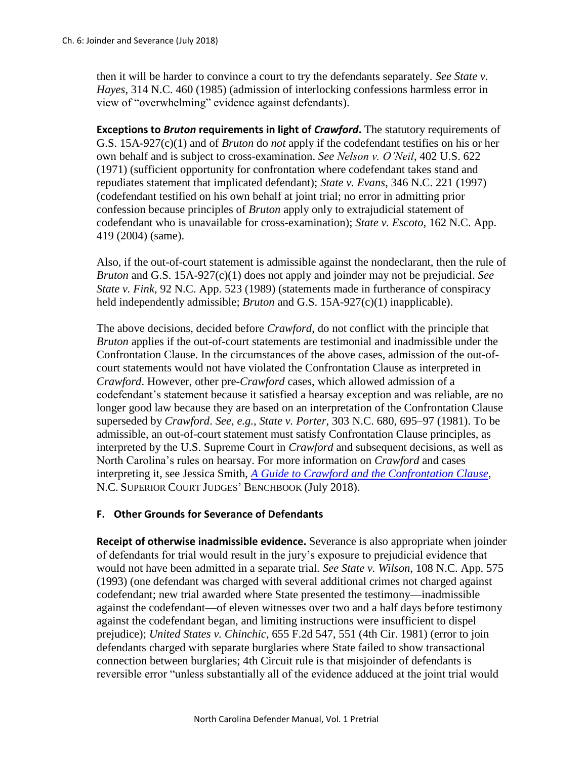then it will be harder to convince a court to try the defendants separately. *See State v. Hayes*, 314 N.C. 460 (1985) (admission of interlocking confessions harmless error in view of "overwhelming" evidence against defendants).

**Exceptions to** *Bruton* **requirements in light of** *Crawford***.** The statutory requirements of G.S. 15A-927(c)(1) and of *Bruton* do *not* apply if the codefendant testifies on his or her own behalf and is subject to cross-examination. *See Nelson v. O'Neil*, 402 U.S. 622 (1971) (sufficient opportunity for confrontation where codefendant takes stand and repudiates statement that implicated defendant); *State v. Evans*, 346 N.C. 221 (1997) (codefendant testified on his own behalf at joint trial; no error in admitting prior confession because principles of *Bruton* apply only to extrajudicial statement of codefendant who is unavailable for cross-examination); *State v. Escoto*, 162 N.C. App. 419 (2004) (same).

Also, if the out-of-court statement is admissible against the nondeclarant, then the rule of *Bruton* and G.S. 15A-927(c)(1) does not apply and joinder may not be prejudicial. *See State v. Fink*, 92 N.C. App. 523 (1989) (statements made in furtherance of conspiracy held independently admissible; *Bruton* and G.S. 15A-927(c)(1) inapplicable).

The above decisions, decided before *Crawford*, do not conflict with the principle that *Bruton* applies if the out-of-court statements are testimonial and inadmissible under the Confrontation Clause. In the circumstances of the above cases, admission of the out-ofcourt statements would not have violated the Confrontation Clause as interpreted in *Crawford*. However, other pre-*Crawford* cases, which allowed admission of a codefendant's statement because it satisfied a hearsay exception and was reliable, are no longer good law because they are based on an interpretation of the Confrontation Clause superseded by *Crawford*. *See, e.g., State v. Porter*, 303 N.C. 680, 695–97 (1981). To be admissible, an out-of-court statement must satisfy Confrontation Clause principles, as interpreted by the U.S. Supreme Court in *Crawford* and subsequent decisions, as well as North Carolina's rules on hearsay. For more information on *Crawford* and cases interpreting it, see Jessica Smith, *[A Guide to Crawford and the Confrontation Clause](https://benchbook.sog.unc.edu/evidence/guide-crawford-confrontation-clause)*, N.C. SUPERIOR COURT JUDGES' BENCHBOOK (July 2018).

## **F. Other Grounds for Severance of Defendants**

**Receipt of otherwise inadmissible evidence.** Severance is also appropriate when joinder of defendants for trial would result in the jury's exposure to prejudicial evidence that would not have been admitted in a separate trial. *See State v. Wilson*, 108 N.C. App. 575 (1993) (one defendant was charged with several additional crimes not charged against codefendant; new trial awarded where State presented the testimony—inadmissible against the codefendant—of eleven witnesses over two and a half days before testimony against the codefendant began, and limiting instructions were insufficient to dispel prejudice); *United States v. Chinchic*, 655 F.2d 547, 551 (4th Cir. 1981) (error to join defendants charged with separate burglaries where State failed to show transactional connection between burglaries; 4th Circuit rule is that misjoinder of defendants is reversible error "unless substantially all of the evidence adduced at the joint trial would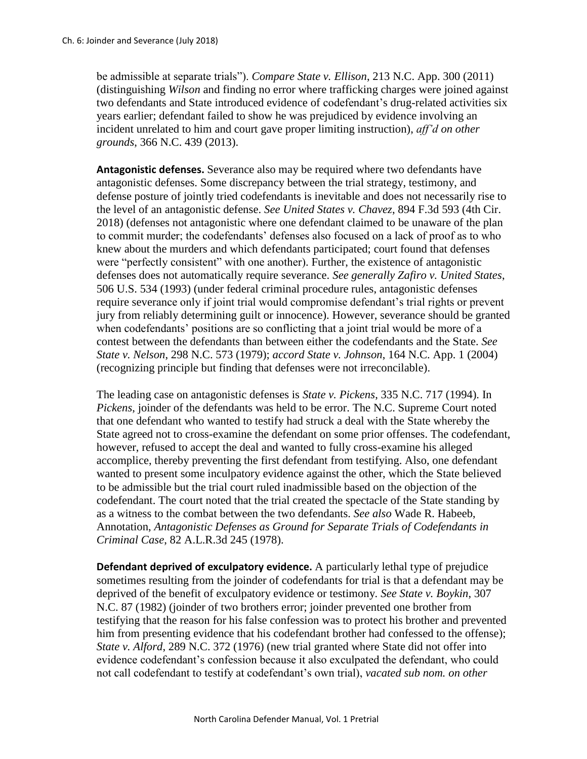be admissible at separate trials"). *Compare State v. Ellison*, 213 N.C. App. 300 (2011) (distinguishing *Wilson* and finding no error where trafficking charges were joined against two defendants and State introduced evidence of codefendant's drug-related activities six years earlier; defendant failed to show he was prejudiced by evidence involving an incident unrelated to him and court gave proper limiting instruction), *aff'd on other grounds*, 366 N.C. 439 (2013).

**Antagonistic defenses.** Severance also may be required where two defendants have antagonistic defenses. Some discrepancy between the trial strategy, testimony, and defense posture of jointly tried codefendants is inevitable and does not necessarily rise to the level of an antagonistic defense. *See United States v. Chavez*, 894 F.3d 593 (4th Cir. 2018) (defenses not antagonistic where one defendant claimed to be unaware of the plan to commit murder; the codefendants' defenses also focused on a lack of proof as to who knew about the murders and which defendants participated; court found that defenses were "perfectly consistent" with one another). Further, the existence of antagonistic defenses does not automatically require severance. *See generally Zafiro v. United States*, 506 U.S. 534 (1993) (under federal criminal procedure rules, antagonistic defenses require severance only if joint trial would compromise defendant's trial rights or prevent jury from reliably determining guilt or innocence). However, severance should be granted when codefendants' positions are so conflicting that a joint trial would be more of a contest between the defendants than between either the codefendants and the State. *See State v. Nelson*, 298 N.C. 573 (1979); *accord State v. Johnson*, 164 N.C. App. 1 (2004) (recognizing principle but finding that defenses were not irreconcilable).

The leading case on antagonistic defenses is *State v. Pickens*, 335 N.C. 717 (1994). In *Pickens*, joinder of the defendants was held to be error. The N.C. Supreme Court noted that one defendant who wanted to testify had struck a deal with the State whereby the State agreed not to cross-examine the defendant on some prior offenses. The codefendant, however, refused to accept the deal and wanted to fully cross-examine his alleged accomplice, thereby preventing the first defendant from testifying. Also, one defendant wanted to present some inculpatory evidence against the other, which the State believed to be admissible but the trial court ruled inadmissible based on the objection of the codefendant. The court noted that the trial created the spectacle of the State standing by as a witness to the combat between the two defendants. *See also* Wade R. Habeeb, Annotation, *Antagonistic Defenses as Ground for Separate Trials of Codefendants in Criminal Case*, 82 A.L.R.3d 245 (1978).

**Defendant deprived of exculpatory evidence.** A particularly lethal type of prejudice sometimes resulting from the joinder of codefendants for trial is that a defendant may be deprived of the benefit of exculpatory evidence or testimony. *See State v. Boykin*, 307 N.C. 87 (1982) (joinder of two brothers error; joinder prevented one brother from testifying that the reason for his false confession was to protect his brother and prevented him from presenting evidence that his codefendant brother had confessed to the offense); *State v. Alford*, 289 N.C. 372 (1976) (new trial granted where State did not offer into evidence codefendant's confession because it also exculpated the defendant, who could not call codefendant to testify at codefendant's own trial), *vacated sub nom. on other*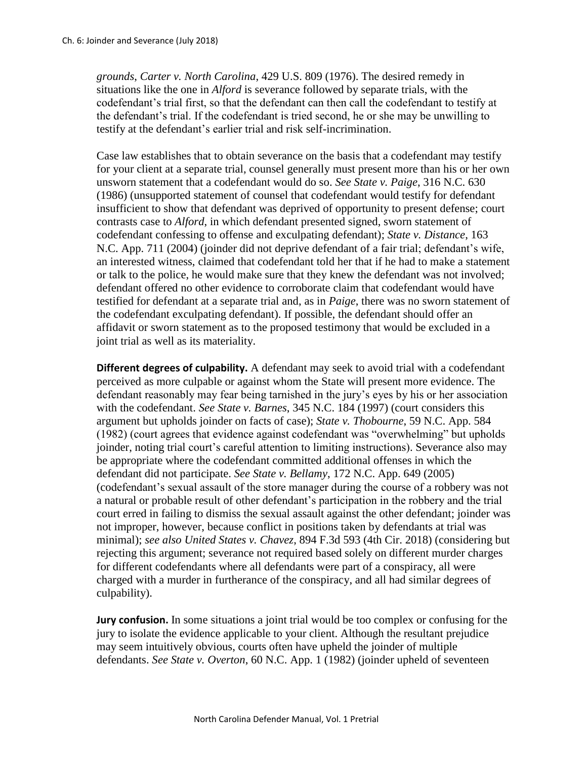*grounds*, *Carter v. North Carolina*, 429 U.S. 809 (1976). The desired remedy in situations like the one in *Alford* is severance followed by separate trials, with the codefendant's trial first, so that the defendant can then call the codefendant to testify at the defendant's trial. If the codefendant is tried second, he or she may be unwilling to testify at the defendant's earlier trial and risk self-incrimination.

Case law establishes that to obtain severance on the basis that a codefendant may testify for your client at a separate trial, counsel generally must present more than his or her own unsworn statement that a codefendant would do so. *See State v. Paige*, 316 N.C. 630 (1986) (unsupported statement of counsel that codefendant would testify for defendant insufficient to show that defendant was deprived of opportunity to present defense; court contrasts case to *Alford*, in which defendant presented signed, sworn statement of codefendant confessing to offense and exculpating defendant); *State v. Distance*, 163 N.C. App. 711 (2004) (joinder did not deprive defendant of a fair trial; defendant's wife, an interested witness, claimed that codefendant told her that if he had to make a statement or talk to the police, he would make sure that they knew the defendant was not involved; defendant offered no other evidence to corroborate claim that codefendant would have testified for defendant at a separate trial and, as in *Paige*, there was no sworn statement of the codefendant exculpating defendant). If possible, the defendant should offer an affidavit or sworn statement as to the proposed testimony that would be excluded in a joint trial as well as its materiality.

**Different degrees of culpability.** A defendant may seek to avoid trial with a codefendant perceived as more culpable or against whom the State will present more evidence. The defendant reasonably may fear being tarnished in the jury's eyes by his or her association with the codefendant. *See State v. Barnes*, 345 N.C. 184 (1997) (court considers this argument but upholds joinder on facts of case); *State v. Thobourne*, 59 N.C. App. 584 (1982) (court agrees that evidence against codefendant was "overwhelming" but upholds joinder, noting trial court's careful attention to limiting instructions). Severance also may be appropriate where the codefendant committed additional offenses in which the defendant did not participate. *See State v. Bellamy*, 172 N.C. App. 649 (2005) (codefendant's sexual assault of the store manager during the course of a robbery was not a natural or probable result of other defendant's participation in the robbery and the trial court erred in failing to dismiss the sexual assault against the other defendant; joinder was not improper, however, because conflict in positions taken by defendants at trial was minimal); *see also United States v. Chavez*, 894 F.3d 593 (4th Cir. 2018) (considering but rejecting this argument; severance not required based solely on different murder charges for different codefendants where all defendants were part of a conspiracy, all were charged with a murder in furtherance of the conspiracy, and all had similar degrees of culpability).

**Jury confusion.** In some situations a joint trial would be too complex or confusing for the jury to isolate the evidence applicable to your client. Although the resultant prejudice may seem intuitively obvious, courts often have upheld the joinder of multiple defendants. *See State v. Overton*, 60 N.C. App. 1 (1982) (joinder upheld of seventeen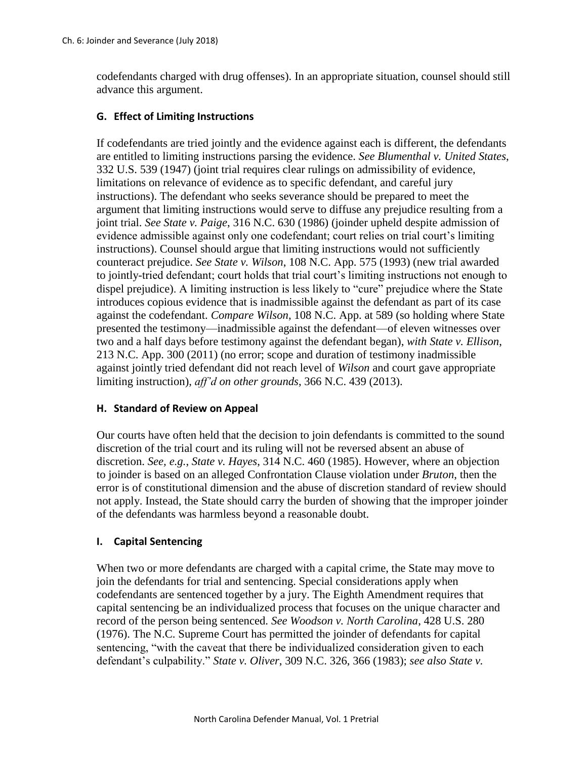codefendants charged with drug offenses). In an appropriate situation, counsel should still advance this argument.

# **G. Effect of Limiting Instructions**

If codefendants are tried jointly and the evidence against each is different, the defendants are entitled to limiting instructions parsing the evidence. *See Blumenthal v. United States*, 332 U.S. 539 (1947) (joint trial requires clear rulings on admissibility of evidence, limitations on relevance of evidence as to specific defendant, and careful jury instructions). The defendant who seeks severance should be prepared to meet the argument that limiting instructions would serve to diffuse any prejudice resulting from a joint trial. *See State v. Paige*, 316 N.C. 630 (1986) (joinder upheld despite admission of evidence admissible against only one codefendant; court relies on trial court's limiting instructions). Counsel should argue that limiting instructions would not sufficiently counteract prejudice. *See State v. Wilson*, 108 N.C. App. 575 (1993) (new trial awarded to jointly-tried defendant; court holds that trial court's limiting instructions not enough to dispel prejudice). A limiting instruction is less likely to "cure" prejudice where the State introduces copious evidence that is inadmissible against the defendant as part of its case against the codefendant. *Compare Wilson*, 108 N.C. App. at 589 (so holding where State presented the testimony—inadmissible against the defendant—of eleven witnesses over two and a half days before testimony against the defendant began), *with State v. Ellison*, 213 N.C. App. 300 (2011) (no error; scope and duration of testimony inadmissible against jointly tried defendant did not reach level of *Wilson* and court gave appropriate limiting instruction), *aff'd on other grounds*, 366 N.C. 439 (2013).

## **H. Standard of Review on Appeal**

Our courts have often held that the decision to join defendants is committed to the sound discretion of the trial court and its ruling will not be reversed absent an abuse of discretion. *See, e.g.*, *State v. Hayes*, 314 N.C. 460 (1985). However, where an objection to joinder is based on an alleged Confrontation Clause violation under *Bruton*, then the error is of constitutional dimension and the abuse of discretion standard of review should not apply. Instead, the State should carry the burden of showing that the improper joinder of the defendants was harmless beyond a reasonable doubt.

## **I. Capital Sentencing**

When two or more defendants are charged with a capital crime, the State may move to join the defendants for trial and sentencing. Special considerations apply when codefendants are sentenced together by a jury. The Eighth Amendment requires that capital sentencing be an individualized process that focuses on the unique character and record of the person being sentenced. *See Woodson v. North Carolina*, 428 U.S. 280 (1976). The N.C. Supreme Court has permitted the joinder of defendants for capital sentencing, "with the caveat that there be individualized consideration given to each defendant's culpability." *State v. Oliver*, 309 N.C. 326, 366 (1983); *see also State v.*